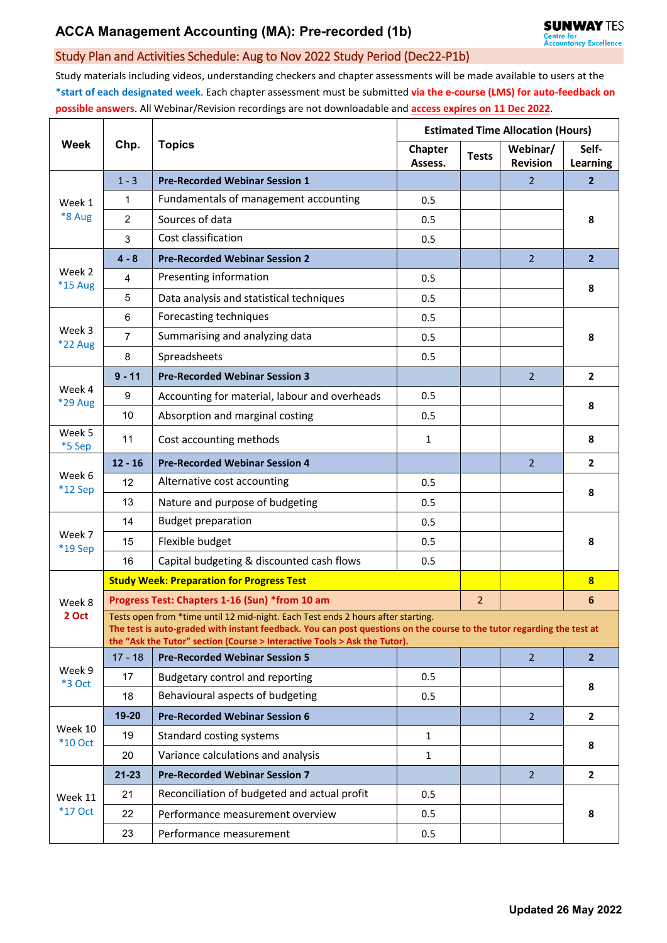## Study Plan and Activities Schedule: Aug to Nov 2022 Study Period (Dec22-P1b)

Study materials including videos, understanding checkers and chapter assessments will be made available to users at the **\*start of each designated week**. Each chapter assessment must be submitted **via the e-course (LMS) for auto-feedback on possible answers**. All Webinar/Revision recordings are not downloadable and **access expires on 11 Dec 2022**.

| <b>Week</b>               | Chp.                                                                                                                                                                                                                                                                                    | <b>Topics</b>                                 | <b>Estimated Time Allocation (Hours)</b> |              |                             |                          |  |  |  |
|---------------------------|-----------------------------------------------------------------------------------------------------------------------------------------------------------------------------------------------------------------------------------------------------------------------------------------|-----------------------------------------------|------------------------------------------|--------------|-----------------------------|--------------------------|--|--|--|
|                           |                                                                                                                                                                                                                                                                                         |                                               | <b>Chapter</b><br>Assess.                | <b>Tests</b> | Webinar/<br><b>Revision</b> | Self-<br><b>Learning</b> |  |  |  |
| Week 1<br>*8 Aug          | $1 - 3$                                                                                                                                                                                                                                                                                 | <b>Pre-Recorded Webinar Session 1</b>         |                                          |              | $\overline{2}$              | $\overline{2}$           |  |  |  |
|                           | 1                                                                                                                                                                                                                                                                                       | Fundamentals of management accounting         | 0.5                                      |              |                             | 8                        |  |  |  |
|                           | $\overline{2}$                                                                                                                                                                                                                                                                          | Sources of data                               | 0.5                                      |              |                             |                          |  |  |  |
|                           | 3                                                                                                                                                                                                                                                                                       | Cost classification                           | 0.5                                      |              |                             |                          |  |  |  |
| Week 2<br>*15 Aug         | $4 - 8$                                                                                                                                                                                                                                                                                 | <b>Pre-Recorded Webinar Session 2</b>         |                                          |              | $\overline{2}$              | $\overline{2}$           |  |  |  |
|                           | 4                                                                                                                                                                                                                                                                                       | Presenting information                        | 0.5                                      |              |                             | 8                        |  |  |  |
|                           | 5                                                                                                                                                                                                                                                                                       | Data analysis and statistical techniques      | 0.5                                      |              |                             |                          |  |  |  |
| Week 3<br>*22 Aug         | 6                                                                                                                                                                                                                                                                                       | Forecasting techniques                        | 0.5                                      |              |                             | 8                        |  |  |  |
|                           | $\overline{7}$                                                                                                                                                                                                                                                                          | Summarising and analyzing data                | 0.5                                      |              |                             |                          |  |  |  |
|                           | 8                                                                                                                                                                                                                                                                                       | Spreadsheets                                  | 0.5                                      |              |                             |                          |  |  |  |
| Week 4<br>*29 Aug         | $9 - 11$                                                                                                                                                                                                                                                                                | <b>Pre-Recorded Webinar Session 3</b>         |                                          |              | $\overline{2}$              | $\overline{2}$           |  |  |  |
|                           | $\boldsymbol{9}$                                                                                                                                                                                                                                                                        | Accounting for material, labour and overheads | 0.5                                      |              |                             | 8                        |  |  |  |
|                           | 10                                                                                                                                                                                                                                                                                      | Absorption and marginal costing               | 0.5                                      |              |                             |                          |  |  |  |
| Week 5<br>*5 Sep          | 11                                                                                                                                                                                                                                                                                      | Cost accounting methods                       | $\mathbf{1}$                             |              |                             | 8                        |  |  |  |
| Week 6<br>$*12$ Sep       | $12 - 16$                                                                                                                                                                                                                                                                               | <b>Pre-Recorded Webinar Session 4</b>         |                                          |              | $\overline{2}$              | $\overline{2}$           |  |  |  |
|                           | 12                                                                                                                                                                                                                                                                                      | Alternative cost accounting                   | 0.5                                      |              |                             | 8                        |  |  |  |
|                           | 13                                                                                                                                                                                                                                                                                      | Nature and purpose of budgeting               | 0.5                                      |              |                             |                          |  |  |  |
|                           | 14                                                                                                                                                                                                                                                                                      | <b>Budget preparation</b>                     | 0.5                                      |              |                             | 8                        |  |  |  |
| Week 7<br>*19 Sep         | 15                                                                                                                                                                                                                                                                                      | Flexible budget                               | 0.5                                      |              |                             |                          |  |  |  |
|                           | 16                                                                                                                                                                                                                                                                                      | Capital budgeting & discounted cash flows     | 0.5                                      |              |                             |                          |  |  |  |
|                           | <b>Study Week: Preparation for Progress Test</b>                                                                                                                                                                                                                                        |                                               |                                          |              |                             | $\overline{\mathbf{8}}$  |  |  |  |
| Week 8                    | Progress Test: Chapters 1-16 (Sun) *from 10 am                                                                                                                                                                                                                                          |                                               |                                          |              |                             | 6                        |  |  |  |
| 2 Oct                     | Tests open from *time until 12 mid-night. Each Test ends 2 hours after starting.<br>The test is auto-graded with instant feedback. You can post questions on the course to the tutor regarding the test at<br>the "Ask the Tutor" section (Course > Interactive Tools > Ask the Tutor). |                                               |                                          |              |                             |                          |  |  |  |
| Week 9<br>*3 Oct          | $17 - 18$                                                                                                                                                                                                                                                                               | <b>Pre-Recorded Webinar Session 5</b>         |                                          |              | 2 <sup>1</sup>              | 2 <sup>2</sup>           |  |  |  |
|                           | 17                                                                                                                                                                                                                                                                                      | Budgetary control and reporting               | 0.5                                      |              |                             | 8                        |  |  |  |
|                           | 18                                                                                                                                                                                                                                                                                      | Behavioural aspects of budgeting              | 0.5                                      |              |                             |                          |  |  |  |
| Week 10<br><b>*10 Oct</b> | $19 - 20$                                                                                                                                                                                                                                                                               | <b>Pre-Recorded Webinar Session 6</b>         |                                          |              | 2 <sup>1</sup>              | $\mathbf{2}$             |  |  |  |
|                           | 19                                                                                                                                                                                                                                                                                      | Standard costing systems                      | $\mathbf{1}$                             |              |                             | 8                        |  |  |  |
|                           | 20                                                                                                                                                                                                                                                                                      | Variance calculations and analysis            | $\mathbf{1}$                             |              |                             |                          |  |  |  |
| Week 11<br>$*17$ Oct      | $21 - 23$                                                                                                                                                                                                                                                                               | <b>Pre-Recorded Webinar Session 7</b>         |                                          |              | $\overline{2}$              | $\overline{2}$           |  |  |  |
|                           | 21                                                                                                                                                                                                                                                                                      | Reconciliation of budgeted and actual profit  | 0.5                                      |              |                             | 8                        |  |  |  |
|                           | 22                                                                                                                                                                                                                                                                                      | Performance measurement overview              | 0.5                                      |              |                             |                          |  |  |  |
|                           | 23                                                                                                                                                                                                                                                                                      | Performance measurement                       | 0.5                                      |              |                             |                          |  |  |  |